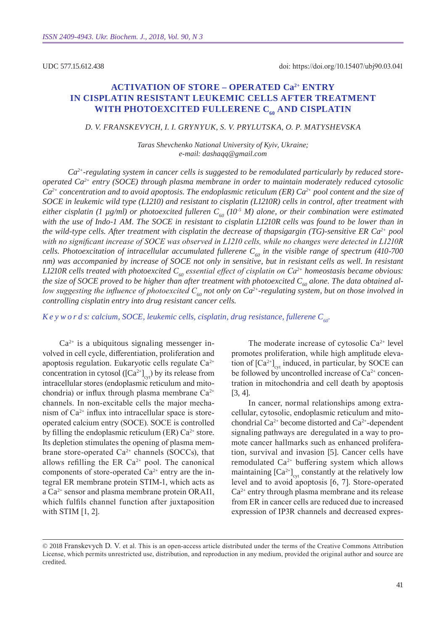UDC 577.15.612.438

# **Activation of store – operated Ca2+ entry in cisplatin resistant leukemic cells after treatment with photoexcited fullerene C60 and cisplatin**

#### *D. V. Frans kevych, I. I. Grynyuk, S. V. Prylutska, O. P. Matyshevs ka*

*Taras Shevchenko National University of Kyiv, Ukraine; e-mail: dashaqq@gmail.com*

*Ca2+-regulating system in cancer cells is suggested to be remodulated particularly by reduced storeoperated Ca2+ entry (SOCE ) through plasma membrane in order to maintain moderately reduced cytosolic Ca2+ concentration and to avoid apoptosis. The endoplasmic reticulum (ER ) Ca2+ pool content and the size of SOCE in leukemic wild type (L1210) and resistant to cisplatin (L1210R) cells in control, after treatment with either cisplatin (1 µg/ml) or photoexcited fulleren*  $C_{60}$  (10<sup>-5</sup> M) alone, or their combination were estimated *with the use of Indo-1 AM. The SOCE in resistant to cisplatin L1210R cells was found to be lower than in the wild-type cells. After treatment with cisplatin the decrease of thapsigargin (TG)-sensitive ER Ca2+ pool with no significant increase of SOCE was observed in L1210 cells, while no changes were detected in L1210R cells. Photoexcitation of intracellular accumulated fullerene*  $C_{60}$  in the visible range of spectrum (410-700 *nm) was accompanied by increase of SOCE not only in sensitive, but in resistant cells as well. In resistant L1210R cells treated with photoexcited*  $C_{60}$  *essential effect of cisplatin on*  $Ca^{2+}$  *homeostasis became obvious: the size of SOCE proved to be higher than after treatment with photoexcited*  $C_{60}$  alone. The data obtained al*low suggesting the influence of photoexcited C<sub>60</sub> not only on Ca<sup>2+</sup>-regulating system, but on those involved in controlling cisplatin entry into drug resistant cancer cells.*

*Keyw ords: calcium, SOCE, leukemic cells, cisplatin, drug resistance, fullerene C<sub>60</sub>.* 

 $Ca<sup>2+</sup>$  is a ubiquitous signaling messenger involved in cell cycle, differentiation, proliferation and apoptosis regulation. Eukaryotic cells regulate  $Ca^{2+}$ concentration in cytosol ( $[Ca^{2+}]_{\text{cyl}}$ ) by its release from intracellular stores (endoplasmic reticulum and mitochondria) or influx through plasma membrane Ca<sup>2+</sup> channels. In non-excitable cells the major mechanism of  $Ca^{2+}$  influx into intracellular space is storeoperated calcium entry (SOCE). SOCE is controlled by filling the endoplasmic reticulum (ER)  $Ca^{2+}$  store. Its depletion stimulates the opening of plasma membrane store-operated  $Ca^{2+}$  channels (SOCCs), that allows refilling the ER Ca<sup>2+</sup> pool. The canonical components of store-operated  $Ca^{2+}$  entry are the integral ER membrane protein STIM-1, which acts as a Ca<sup>2+</sup> sensor and plasma membrane protein ORAI1, which fulfils channel function after juxtaposition with STIM [1, 2].

The moderate increase of cytosolic  $Ca^{2+}$  level promotes proliferation, while high amplitude elevation of  $\left[Ca^{2+}\right]_{\text{cyt}}$  induced, in particular, by SOCE can be followed by uncontrolled increase of  $Ca^{2+}$  concentration in mitochondria and cell death by apoptosis [3, 4].

In cancer, normal relationships among extracellular, cytosolic, endoplasmic reticulum and mitochondrial  $Ca^{2+}$  become distorted and  $Ca^{2+}$ -dependent signaling pathways are deregulated in a way to promote cancer hallmarks such as enhanced proliferation, survival and invasion [5]. Cancer cells have remodulated  $Ca^{2+}$  buffering system which allows maintaining  $\left[\text{Ca}^{2+}\right]_{\text{cyt}}$  constantly at the relatively low level and to avoid apoptosis [6, 7]. Store-operated  $Ca<sup>2+</sup>$  entry through plasma membrane and its release from ER in cancer cells are reduced due to increased expression of IP3R channels and decreased expres-

<sup>© 2018</sup> Franskevych D. V. et al. This is an open-access article distributed under the terms of the Creative Commons Attribution License, which permits unrestricted use, distribution, and reproduction in any medium, provided the original author and source are credited.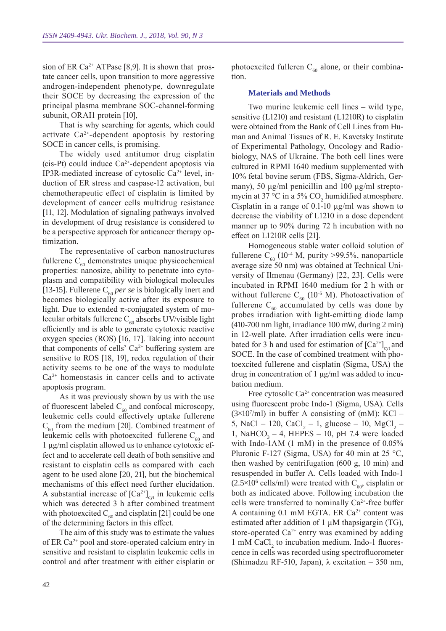sion of ER Ca<sup>2+</sup> ATPase [8,9]. It is shown that prostate cancer cells, upon transition to more aggressive androgen-independent phenotype, downregulate their SOCE by decreasing the expression of the principal plasma membrane SOC-channel-forming subunit, ORAI1 protein [10],

That is why searching for agents, which could activate  $Ca^{2+}$ -dependent apoptosis by restoring SOCE in cancer cells, is promising.

The widely used antitumor drug cisplatin (cis-Pt) could induce  $Ca^{2+}$ -dependent apoptosis via IP3R-mediated increase of cytosolic  $Ca^{2+}$  level, induction of ER stress and caspase-12 activation, but chemotherapeutic effect of cisplatin is limited by development of cancer cells multidrug resistance [11, 12]. Modulation of signaling pathways involved in development of drug resistance is considered to be a perspective approach for anticancer therapy optimization.

The representative of carbon nanostructures fullerene  $C_{60}$  demonstrates unique physicochemical properties: nanosize, ability to penetrate into cytoplasm and compatibility with biological molecules [13-15]. Fullerene  $C_{60}$  *per se* is biologically inert and becomes biologically active after its exposure to light. Due to extended  $\pi$ -conjugated system of molecular orbitals fullerene  $C_{60}$  absorbs UV/visible light efficiently and is able to generate cytotoxic reactive oxygen species (ROS) [16, 17]. Taking into account that components of cells'  $Ca^{2+}$  buffering system are sensitive to ROS [18, 19], redox regulation of their activity seems to be one of the ways to modulate  $Ca<sup>2+</sup>$  homeostasis in cancer cells and to activate apoptosis program.

As it was previously shown by us with the use of fluorescent labeled  $C_{60}$  and confocal microscopy, leukemic cells could effectively uptake fullerene  $C_{60}$  from the medium [20]. Combined treatment of leukemic cells with photoexcited fullerene  $C_{60}$  and 1 µg/ml cisplatin allowed us to enhance cytotoxic effect and to accelerate cell death of both sensitive and resistant to cisplatin cells as compared with each agent to be used alone [20, 21], but the biochemical mechanisms of this effect need further elucidation. A substantial increase of  $[Ca^{2+}]_{\text{cyt}}$  in leukemic cells which was detected 3 h after combined treatment with photoexcited  $C_{60}$  and cisplatin [21] could be one of the determining factors in this effect.

The aim of this study was to estimate the values of ER  $Ca^{2+}$  pool and store-operated calcium entry in sensitive and resistant to cisplatin leukemic cells in control and after treatment with either cisplatin or

photoexcited fulleren  $C_{60}$  alone, or their combination.

#### **Materials and Methods**

Two murine leukemic cell lines – wild type, sensitive (L1210) and resistant (L1210R) to cisplatin were obtained from the Bank of Cell Lines from Human and Animal Tissues of R. E. Kavetsky Institute of Experimental Pathology, Oncology and Radiobiology, NAS of Ukraine. The both cell lines were cultured in RPMI 1640 medium supplemented with 10% fetal bovine serum (FBS, Sigma-Aldrich, Germany), 50 μg/ml penicillin and 100 μg/ml streptomycin at 37 °C in a 5%  $CO_2$  humidified atmosphere. Cisplatin in a range of  $0.1\n-10 \mu g/ml$  was shown to decrease the viability of L1210 in a dose dependent manner up to 90% during 72 h incubation with no effect on L1210R cells [21].

Homogeneous stable water colloid solution of fullerene C<sub>60</sub> (10<sup>-4</sup> M, purity >99.5%, nanoparticle average size 50 nm) was obtained at Technical University of Ilmenau (Germany) [22, 23]. Cells were incubated in RPMI 1640 medium for 2 h with or without fullerene  $C_{60}$  (10<sup>-5</sup> M). Photoactivation of fullerene  $C_{60}$  accumulated by cells was done by probes irradiation with light-emitting diode lamp (410-700 nm light, irradiance 100 mW, during 2 min) in 12-well plate. After irradiation cells were incubated for 3 h and used for estimation of  $\left[Ca^{2+}\right]_{\text{cyt}}$  and SOCE. In the case of combined treatment with photoexcited fullerene and cisplatin (Sigma, USA) the drug in concentration of 1 μg/ml was added to incubation medium.

Free cytosolic  $Ca^{2+}$  concentration was measured using fluorescent probe Indo-1 (Sigma, USA). Cells  $(3\times10^7/\text{ml})$  in buffer A consisting of (mM): KCl – 5, NaCl – 120, CaCl<sub>2</sub> – 1, glucose – 10, MgCl<sub>2</sub> – 1, NaHCO<sub>3</sub> – 4, HEPES – 10, pH 7.4 were loaded with Indo-1AM (1 mM) in the presence of 0.05% Pluronic F-127 (Sigma, USA) for 40 min at 25 °C, then washed by centrifugation (600 g, 10 min) and resuspended in buffer A. Cells loaded with Indo‑1  $(2.5\times10^6 \text{ cells/ml})$  were treated with  $C_{60}$ , cisplatin or both as indicated above. Following incubation the cells were transferred to nominally Ca<sup>2+</sup>-free buffer A containing 0.1 mM EGTA. ER Ca<sup>2+</sup> content was estimated after addition of  $1 \mu M$  thapsigargin (TG), store-operated  $Ca^{2+}$  entry was examined by adding  $1 \text{ mM }$  CaCl<sub>2</sub> to incubation medium. Indo-1 fluorescence in cells was recorded using spectrofluorometer (Shimadzu RF-510, Japan),  $\lambda$  excitation – 350 nm,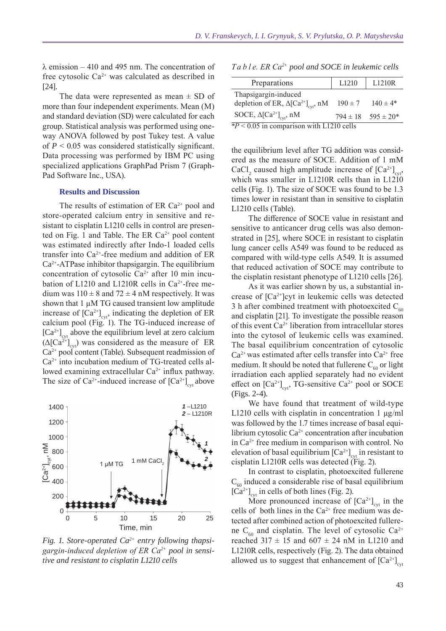$\lambda$  emission – 410 and 495 nm. The concentration of free cytosolic  $Ca^{2+}$  was calculated as described in [24].

The data were represented as mean  $\pm$  SD of more than four independent experiments. Mean (M) and standard deviation (SD) were calculated for each group. Statistical analysis was performed using oneway ANOVA followed by post Tukey test. A value of  $P < 0.05$  was considered statistically significant. Data processing was performed by IBM PC using specialized applications GraphPad Prism 7 (Graph-Pad Software Inc., USA).

#### **Results and Discussion**

The results of estimation of ER  $Ca^{2+}$  pool and store-operated calcium entry in sensitive and resistant to cisplatin L1210 cells in control are presented on Fig. 1 and Table. The ER  $Ca^{2+}$  pool content was estimated indirectly after Indo-1 loaded cells transfer into  $Ca^{2+}$ -free medium and addition of ER Ca2+-ATPase inhibitor thapsigargin. The equilibrium concentration of cytosolic  $Ca^{2+}$  after 10 min incubation of L1210 and L1210R cells in  $Ca^{2+}$ -free medium was  $110 \pm 8$  and  $72 \pm 4$  nM respectively. It was shown that 1 µM TG caused transient low amplitude increase of  $\left[Ca^{2+}\right]_{\text{cyt}}$ , indicating the depletion of ER calcium pool (Fig. 1). The TG-induced increase of  $[Ca^{2+}]_{\text{cyt}}$  above the equilibrium level at zero calcium  $(\Delta [Ca^{2+}]_{\text{cyl}})$  was considered as the measure of ER Ca2+ pool content (Table). Subsequent readmission of Ca2+ into incubation medium of TG-treated cells allowed examining extracellular  $Ca^{2+}$  influx pathway. The size of Ca<sup>2+</sup>-induced increase of  $\left[Ca^{2+}\right]_{\text{cyt}}$  above



*Fig. 1. Store-operated Ca2+ entry following thapsigargin-induced depletion of ER Са2+ pool in sensitive and resistant to cisplatin L1210 cells*

*T a b l e. ER Са2+ pool and SOCE in leukemic cells*

| Preparations                                                              | L1210 | L1210R                      |
|---------------------------------------------------------------------------|-------|-----------------------------|
| Thapsigargin-induced                                                      |       |                             |
| depletion of ER, $\Delta$ [Ca <sup>2+</sup> ] <sub>cvt</sub> , nM 190 ± 7 |       | $140 \pm 4*$                |
| SOCE, $\Delta$ [Ca <sup>2+</sup> ] <sub>cvt</sub> , nM                    |       | $794 \pm 18$ 595 $\pm 20^*$ |
| $P < 0.05$ in comparison with L1210 cells                                 |       |                             |

the equilibrium level after TG addition was considered as the measure of SOCE. Addition of 1 mM CaCl<sub>2</sub> caused high amplitude increase of  $\left[Ca^{2+}\right]_{\text{cyt}}$ , which was smaller in L1210R cells than in L1210 cells (Fig. 1). The size of SOCE was found to be 1.3 times lower in resistant than in sensitive to cisplatin L1210 cells (Table).

The difference of SOCE value in resistant and sensitive to anticancer drug cells was also demonstrated in [25], where SOCE in resistant to cisplatin lung cancer cells A549 was found to be reduced as compared with wild-type cells A549. It is assumed that reduced activation of SOCE may contribute to the cisplatin resistant phenotype of L1210 cells [26].

As it was earlier shown by us, a substantial increase of [Ca2+]cyt in leukemic cells was detected 3 h after combined treatment with photoexcited  $C_{60}$ and cisplatin [21]. To investigate the possible reason of this event  $Ca^{2+}$  liberation from intracellular stores into the cytosol of leukemic cells was examined. The basal equilibrium concentration of cytosolic  $Ca<sup>2+</sup>$  was estimated after cells transfer into  $Ca<sup>2+</sup>$  free medium. It should be noted that fullerene  $C_{60}$  or light irradiation each applied separately had no evident effect on  ${[Ca^{2+}]}_{\text{cyt}}$ , TG-sensitive Ca<sup>2+</sup> pool or SOCE (Figs. 2-4).

We have found that treatment of wild-type L1210 cells with cisplatin in concentration 1 µg/ml was followed by the 1.7 times increase of basal equilibrium cytosolic  $Ca^{2+}$  concentration after incubation in  $Ca^{2+}$  free medium in comparison with control. No elevation of basal equilibrium  $\left[Ca^{2+}\right]_{\text{cyt}}$  in resistant to cisplatin L1210R cells was detected (Fig. 2).

In contrast to cisplatin, photoexcited fullerene  $C_{60}$  induced a considerable rise of basal equilibrium  $\left[\text{Ca}^{2+}\right]_{\text{cyt}}$  in cells of both lines (Fig. 2).

More pronounced increase of  $\left[Ca^{2+}\right]_{\text{cut}}$  in the cells of both lines in the  $Ca^{2+}$  free medium was detected after combined action of photoexcited fullerene  $C_{60}$  and cisplatin. The level of cytosolic Ca<sup>2+</sup> reached  $317 \pm 15$  and  $607 \pm 24$  nM in L1210 and L1210R cells, respectively (Fig. 2). The data obtained allowed us to suggest that enhancement of  $\left[Ca^{2+}\right]_{\text{cyt}}$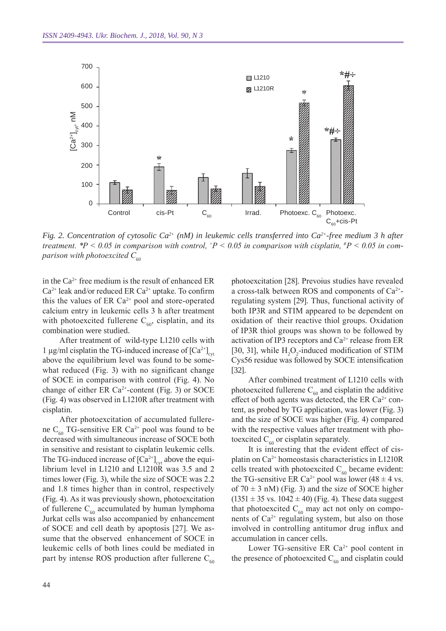

*Fig. 2. Concentration of cytosolic Ca2+ (nM) in leukemic cells transferred into Ca2+-free medium 3 h after treatment. \*Р < 0.05 in comparison with control, <sup>÷</sup> Р < 0.05 in comparison with cisplatin, # Р < 0.05 in comparison with photoexcited С<sup>60</sup>*

in the  $Ca^{2+}$  free medium is the result of enhanced ER  $Ca^{2+}$  leak and/or reduced ER  $Ca^{2+}$  uptake. To confirm this the values of ER  $Ca^{2+}$  pool and store-operated calcium entry in leukemic cells 3 h after treatment with photoexcited fullerene  $C_{60}$ , cisplatin, and its combination were studied.

After treatment of wild-type L1210 cells with 1 µg/ml cisplatin the TG-induced increase of  $\left[Ca^{2+}\right]_{\text{cyl}}$ above the equilibrium level was found to be somewhat reduced (Fig. 3) with no significant change of SOCE in comparison with control (Fig. 4). No change of either ER Ca<sup>2+</sup>-content (Fig. 3) or SOCE (Fig. 4) was observed in L1210R after treatment with cisplatin.

After photoexcitation of accumulated fullerene C<sub>60</sub> TG-sensitive ER Ca<sup>2+</sup> pool was found to be decreased with simultaneous increase of SOCE both in sensitive and resistant to cisplatin leukemic cells. The TG-induced increase of  $\left[Ca^{2+}\right]_{\text{cyt}}$  above the equilibrium level in L1210 and L1210R was 3.5 and 2 times lower (Fig. 3), while the size of SOCE was 2.2 and 1.8 times higher than in control, respectively (Fig. 4). As it was previously shown, photoexcitation of fullerene  $C_{60}$  accumulated by human lymphoma Jurkat cells was also accompanied by enhancement of SOCE and cell death by apoptosis [27]. We assume that the observed enhancement of SOCE in leukemic cells of both lines could be mediated in part by intense ROS production after fullerene  $C_{60}$  photoexcitation [28]. Prevoius studies have revealed a cross-talk between ROS and components of Ca2+ regulating system [29]. Thus, functional activity of both IP3R and STIM appeared to be dependent on oxidation of their reactive thiol groups. Oxidation of IP3R thiol groups was shown to be followed by activation of IP3 receptors and  $Ca^{2+}$  release from ER [30, 31], while  $H_2O_2$ -induced modification of STIM Cys56 residue was followed by SOCE intensification [32].

After combined treatment of L1210 cells with photoexcited fullerene  $C_{60}$  and cisplatin the additive effect of both agents was detected, the ER  $Ca^{2+}$  content, as probed by TG application, was lower (Fig. 3) and the size of SOCE was higher (Fig. 4) compared with the respective values after treatment with photoexcited  $C_{60}$  or cisplatin separately.

It is interesting that the evident effect of cisplatin on Ca2+ homeostasis characteristics in L1210R cells treated with photoexcited  $C_{60}$  became evident: the TG-sensitive ER Ca<sup>2+</sup> pool was lower (48  $\pm$  4 vs. of  $70 \pm 3$  nM) (Fig. 3) and the size of SOCE higher  $(1351 \pm 35 \text{ vs. } 1042 \pm 40)$  (Fig. 4). These data suggest that photoexcited  $C_{60}$  may act not only on components of Ca2+ regulating system, but also on those involved in controlling antitumor drug influx and accumulation in cancer cells.

Lower TG-sensitive ER  $Ca^{2+}$  pool content in the presence of photoexcited  $C_{60}$  and cisplatin could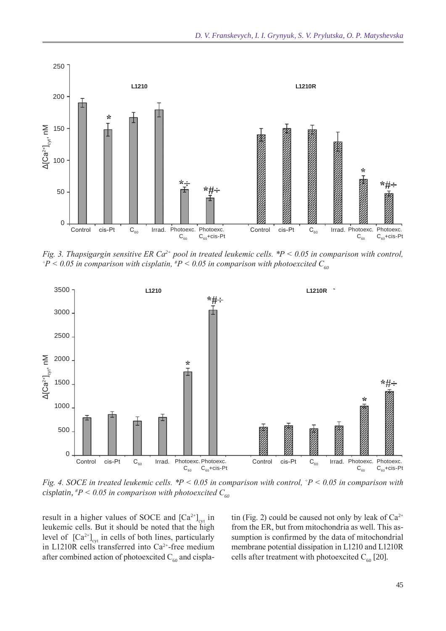

*Fig. 3. Thapsigargin sensitive ER Сa2+ pool in treated leukemic cells. \*Р < 0.05 in comparison with control, ÷ Р < 0.05 in comparison with cisplatin, # Р < 0.05 in comparison with photoexcited С<sup>60</sup>*



*Fig. 4. SOCE in treated leukemic cells.*  $*P < 0.05$  in comparison with control,  $\bar{P} < 0.05$  in comparison with *cisplatin, # Р < 0.05 in comparison with photoexcited С<sup>60</sup>*

result in a higher values of SOCE and  $\left[Ca^{2+}\right]_{\text{cvt}}$  in leukemic cells. But it should be noted that the high level of  $\left[Ca^{2+}\right]_{\text{cyt}}$  in cells of both lines, particularly in L1210R cells transferred into Ca<sup>2+</sup>-free medium after combined action of photoexcited  $C_{60}$  and cisplatin (Fig. 2) could be caused not only by leak of  $Ca^{2+}$ from the ER, but from mitochondria as well. This assumption is confirmed by the data of mitochondrial membrane potential dissipation in L1210 and L1210R cells after treatment with photoexcited  $C_{60}$  [20].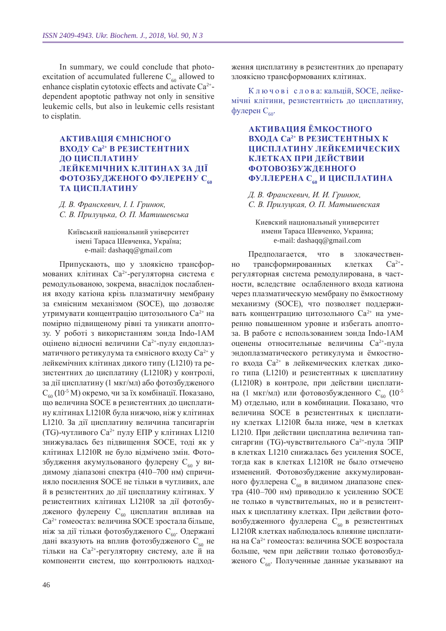In summary, we could conclude that photoexcitation of accumulated fullerene  $C_{60}$  allowed to enhance cisplatin cytotoxic effects and activate  $Ca^{2+}$ dependent apoptotic pathway not only in sensitive leukemic cells, but also in leukemic cells resistant to cisplatin.

### **Активація ємнісного входу Ca2+ В резистентних до цисплатину лейкемічних клітинах за дії фотозбудженого фулерену С<sup>60</sup> та цисплатину**

*Д. В. Франскевич, І. І. Гринюк, С. В. Прилуцька, О. П. Матишевська* 

Київський національний університет імені Тараса Шевченка, Україна; e-mail: dashaqq@gmail.com

Припускають, що у злоякісно трансформованих клітинах Са2+-регуляторна система є ремодульованою, зокрема, внаслідок послаблення входу катіона крізь плазматичну мембрану за ємнісним механізмом (SOCE), що дозволяє утримувати концентрацію цитозольного Са2+ на помірно підвищеному рівні та уникати апоптозу. У роботі з використанням зонда Indo-1AM оцінено відносні величини Ca2+-пулу ендоплазматичного ретикулума та ємнісного входу Ca2+ у лейкемічних клітинах дикого типу (L1210) та резистентних до цисплатину (L1210R) у контролі, за дії цисплатину (1 мкг/мл) або фотозбудженого  $C_{60}$  (10<sup>-5</sup> М) окремо, чи за їх комбінації. Показано, що величина SOCE в резистентних до цисплатину клітинах L1210R була нижчою, ніж у клітинах L1210. За дії цисплатину величина тапсигаргін (TG)-чутливого Ca2+ пулу ЕПР у клітинах L1210 знижувалась без підвищення SOCE, тоді як у клітинах L1210R не було відмічено змін. Фотозбудження акумульованого фулерену С<sub>60</sub> у видимому діапазоні спектра (410–700 нм) спричиняло посилення SOCE не тільки в чутливих, але й в резистентних до дії цисплатину клітинах. У резистентних клітинах L1210R за дії фотозбудженого фулерену С<sub>60</sub> цисплатин впливав на Ca2+ гомеостаз: величина SOCE зростала більше, ніж за дії тільки фотозбудженого  $\mathbf{C}_{60}$ Одержані дані вказують на вплив фотозбудженого С<sub>60</sub> не тільки на Ca2+-регуляторну систему, але й на компоненти систем, що контролюють надходження цисплатину в резистентних до препарату злоякісно трансформованих клітинах.

К л ю ч о в і с л о в а: кальцій, SOCE, лейкемічні клітини, резистентність до цисплатину, фулерен С<sub>60</sub>.

## **Активация ёмкостного входа Ca2+ в резистентных к цисплатину лейкемических клетках при действии фотовозбужденного фуллерена С60 и цисплатина**

*Д. В. Франскевич, И. И. Гринюк, С. В. Прилуцкая, О. П. Матышевская*

Киевский национальный университет имени Тараса Шевченко, Украина; e-mail: dashaqq@gmail.com

Предполагается, что в злокачественно трансформированных клетках Са2+ регуляторная система ремодулирована, в частности, вследствие ослабленного входа катиона через плазматическую мембрану по ёмкостному механизму (SOCE), что позволяет поддерживать концентрацию цитозольного  $Ca^{2+}$  на умеренно повышенном уровне и избегать апоптоза. В работе с использованием зонда Indo-1AM оценены относительные величины Ca2+-пула эндоплазматического ретикулума и ёмкостного входа Ca2+ в лейкемических клетках дикого типа (L1210) и резистентных к цисплатину (L1210R) в контроле, при действии цисплатина (1 мкг/мл) или фотовозбужденного  $C_{60}$  (10<sup>-5</sup>) М) отдельно, или в комбинации. Показано, что величина SOCE в резистентных к цисплатину клетках L1210R была ниже, чем в клетках L1210. При действии цисплатина величина тапсигаргин (TG)-чувствительного Ca2+-пула ЭПР в клетках L1210 снижалась без усиления SOCE, тогда как в клетках L1210R не было отмечено изменений. Фотовозбуджение аккумулированного фуллерена С<sub>60</sub> в видимом диапазоне спектра (410–700 нм) приводило к усилению SOCE не только в чувствительных, но и в резистентных к цисплатину клетках. При действии фотовозбудженного фуллерена С<sub>60</sub> в резистентных L1210R клетках наблюдалось влияние цисплатина на Ca2+ гомеостаз: величина SOCE возростала больше, чем при действии только фотовозбудженого  $C_{\kappa 0}$ . Полученные данные указывают на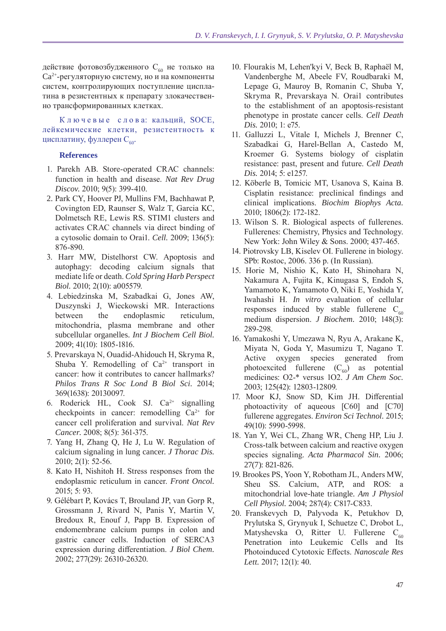действие фотовозбудженного  $C_{60}$  не только на Ca2+-регуляторную систему, но и на компоненты систем, контролирующих поступление цисплатина в резистентных к препарату злокачественно трансформированных клетках.

К л ю ч е в ы е с л о в а: кальций, SOCE, лейкемические клетки, резистентность к цисплатину, фуллерен С<sub>60</sub>.

### **References**

- 1. Parekh AB. Store-operated CRAC channels: function in health and disease. *Nat Rev Drug Discov.* 2010; 9(5): 399-410.
- 2. Park CY, Hoover PJ, Mullins FM, Bachhawat P, Covington ED, Raunser S, Walz T, Garcia KC, Dolmetsch RE, Lewis RS. STIM1 clusters and activates CRAC channels via direct binding of a cytosolic domain to Orai1. *Cell.* 2009; 136(5): 876-890.
- 3. Harr MW, Distelhorst CW. Apoptosis and autophagy: decoding calcium signals that mediate life or death. *Cold Spring Harb Perspect Biol.* 2010; 2(10): a005579.
- 4. Lebiedzinska M, Szabadkai G, Jones AW, Duszynski J, Wieckowski MR. Interactions between the endoplasmic reticulum, mitochondria, plasma membrane and other subcellular organelles. *Int J Biochem Cell Biol.*  2009; 41(10): 1805-1816.
- 5. Prevarskaya N, Ouadid-Ahidouch H, Skryma R, Shuba Y. Remodelling of  $Ca^{2+}$  transport in cancer: how it contributes to cancer hallmarks? *Philos Trans R Soc Lond B Biol Sci.* 2014; 369(1638): 20130097.
- 6. Roderick HL, Cook SJ.  $Ca^{2+}$  signalling checkpoints in cancer: remodelling Ca2+ for cancer cell proliferation and survival. *Nat Rev Cancer.* 2008; 8(5): 361-375.
- 7. Yang H, Zhang Q, He J, Lu W. Regulation of calcium signaling in lung cancer. *J Thorac Dis.*  2010; 2(1): 52-56.
- 8. Kato H, Nishitoh H. Stress responses from the endoplasmic reticulum in cancer. *Front Oncol.*  2015; 5: 93.
- 9. Gélébart P, Kovács T, Brouland JP, van Gorp R, Grossmann J, Rivard N, Panis Y, Martin V, Bredoux R, Enouf J, Papp B. Expression of endomembrane calcium pumps in colon and gastric cancer cells. Induction of SERCA3 expression during differentiation. *J Biol Chem.*  2002; 277(29): 26310-26320.
- 10. Flourakis M, Lehen'kyi V, Beck B, Raphaël M, Vandenberghe M, Abeele FV, Roudbaraki M, Lepage G, Mauroy B, Romanin C, Shuba Y, Skryma R, Prevarskaya N. Orai1 contributes to the establishment of an apoptosis-resistant phenotype in prostate cancer cells. *Cell Death Dis.* 2010; 1: e75.
- 11. Galluzzi L, Vitale I, Michels J, Brenner C, Szabadkai G, Harel-Bellan A, Castedo M, Kroemer G. Systems biology of cisplatin resistance: past, present and future. *Cell Death Dis.* 2014; 5: e1257.
- 12. Köberle B, Tomicic MT, Usanova S, Kaina B. Cisplatin resistance: preclinical findings and clinical implications. *Biochim Biophys Acta.*  2010; 1806(2): 172-182.
- 13. Wilson S. R. Biological aspects of fullerenes. Fullerenes: Chemistry, Physics and Technology. New York: John Wiley & Sons. 2000; 437-465.
- 14. Piotrovsky LB, Kiselev OI. Fullerene in biology. SPb: Rostoc, 2006. 336 p. (In Russian).
- 15. Horie M, Nishio K, Kato H, Shinohara N, Nakamura A, Fujita K, Kinugasa S, Endoh S, Yamamoto K, Yamamoto O, Niki E, Yoshida Y, Iwahashi H. *In vitro* evaluation of cellular responses induced by stable fullerene  $C_{60}$ medium dispersion. *J Biochem.* 2010; 148(3): 289-298.
- 16. Yamakoshi Y, Umezawa N, Ryu A, Arakane K, Miyata N, Goda Y, Masumizu T, Nagano T. Active oxygen species generated from photoexcited fullerene  $(C_{60})$  as potential medicines: O2-\* versus 1O2. *J Am Chem Soc.*  2003; 125(42): 12803-12809.
- 17. Moor KJ, Snow SD, Kim JH. Differential photoactivity of aqueous [C60] and [C70] fullerene aggregates. *Environ Sci Technol.* 2015; 49(10): 5990-5998.
- 18. Yan Y, Wei CL, Zhang WR, Cheng HP, Liu J. Cross-talk between calcium and reactive oxygen species signaling. *Acta Pharmacol Sin.* 2006; 27(7): 821-826.
- 19. Brookes PS, Yoon Y, Robotham JL, Anders MW, Sheu SS. Calcium, ATP, and ROS: a mitochondrial love-hate triangle. *Am J Physiol Cell Physiol.* 2004; 287(4): C817-C833.
- 20. Franskevych D, Palyvoda K, Petukhov D, Prylutska S, Grynyuk I, Schuetze C, Drobot L, Matyshevska O, Ritter U. Fullerene  $C_{60}$ Penetration into Leukemic Cells and Its Photoinduced Cytotoxic Effects. *Nanoscale Res Lett.* 2017; 12(1): 40.